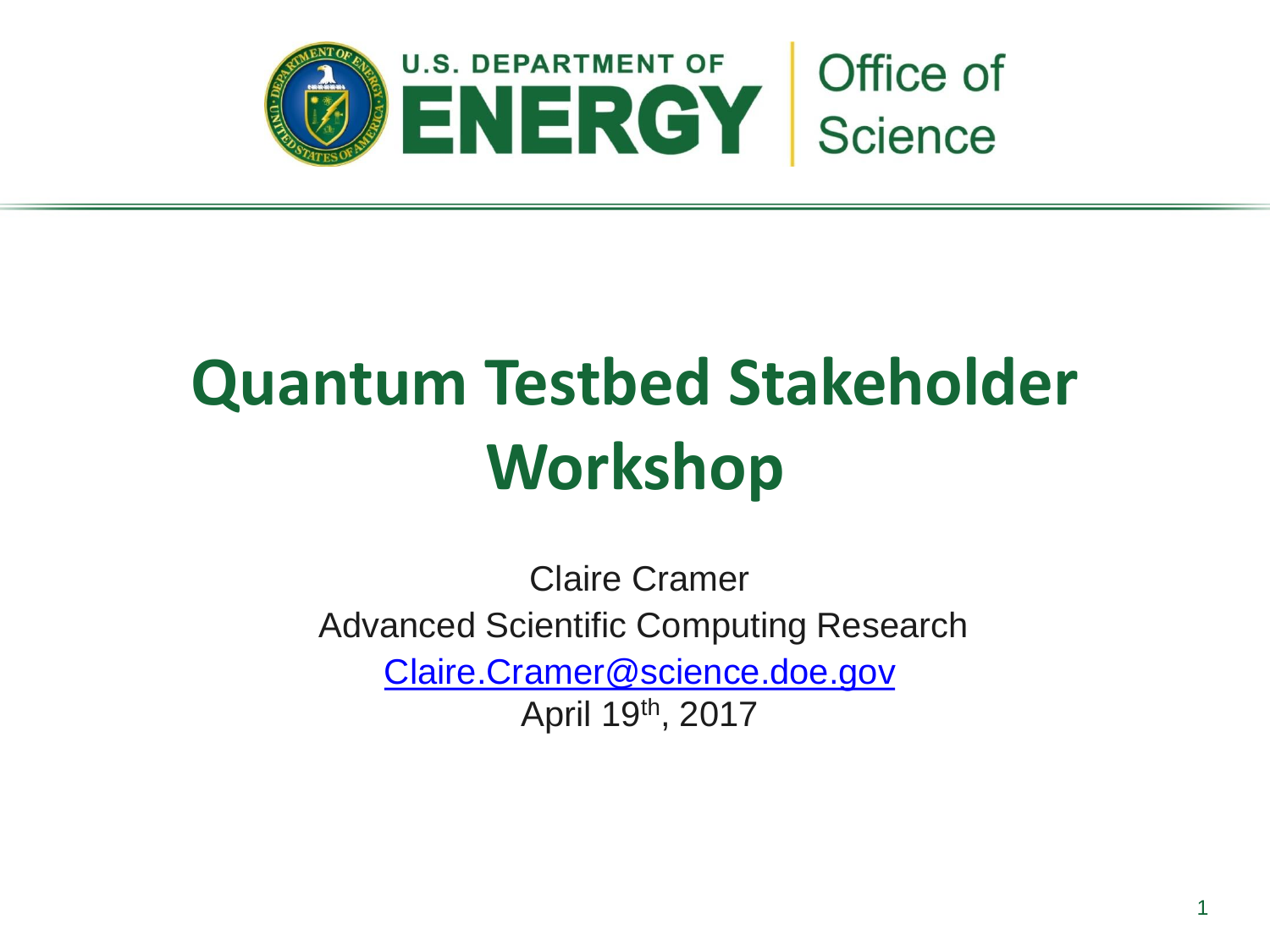

Claire Cramer Advanced Scientific Computing Research [Claire.Cramer@science.doe.gov](mailto:Claire.Cramer@science.doe.gov) April 19th, 2017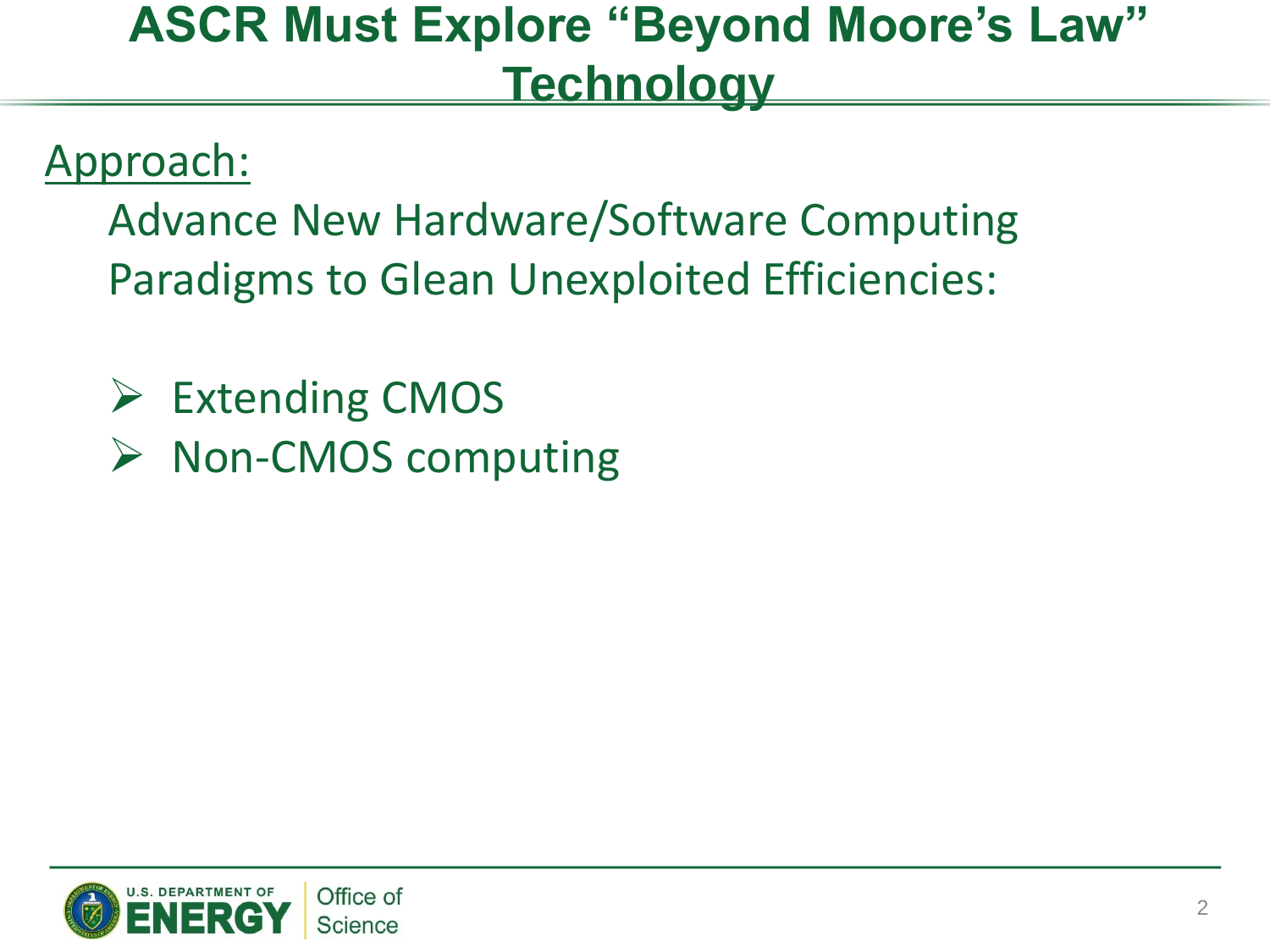### **ASCR Must Explore "Beyond Moore's Law" Technology**

### Approach:

Advance New Hardware/Software Computing Paradigms to Glean Unexploited Efficiencies:

- $\triangleright$  Extending CMOS
- $\triangleright$  Non-CMOS computing

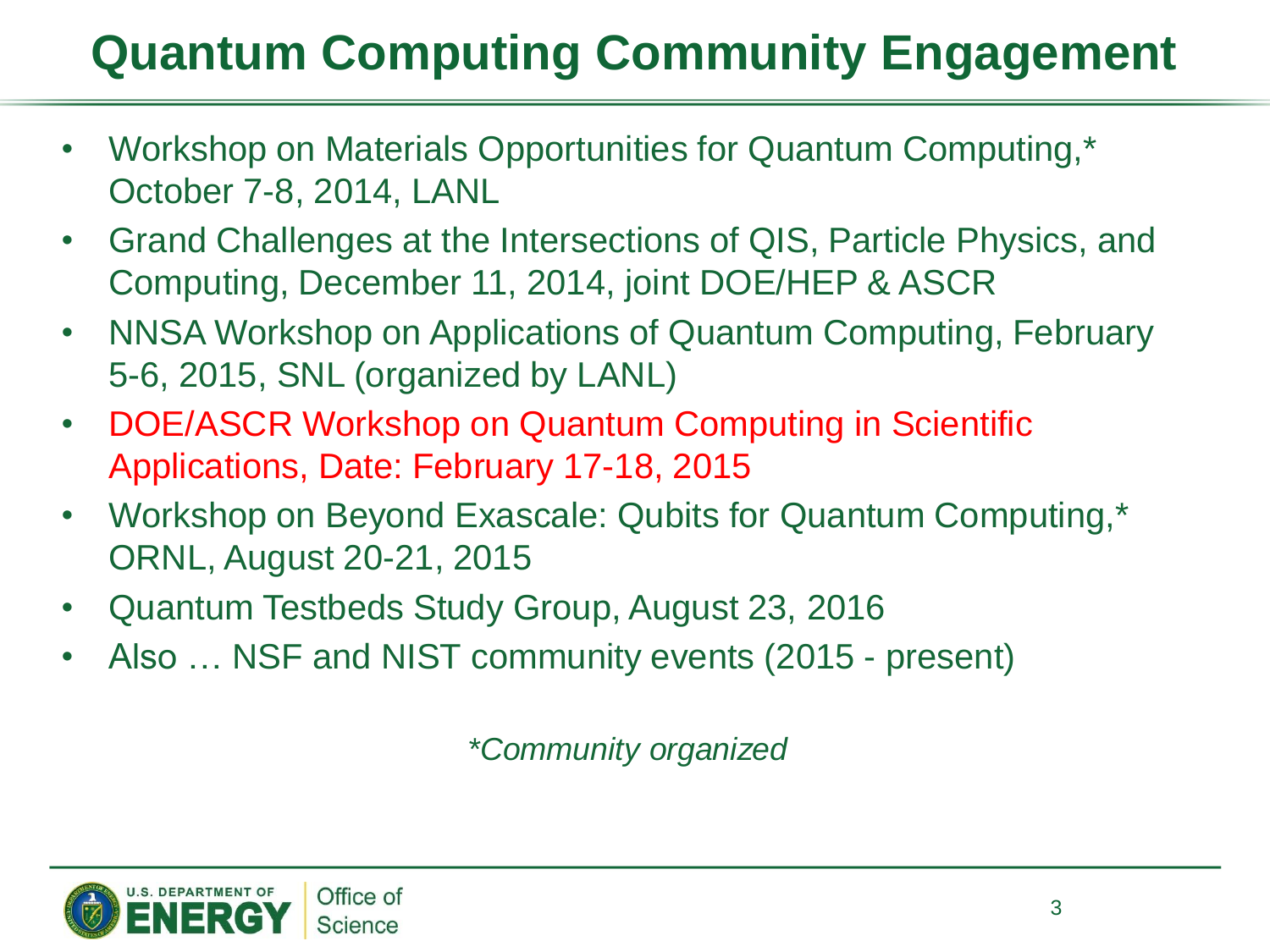### **Quantum Computing Community Engagement**

- Workshop on Materials Opportunities for Quantum Computing,\* October 7-8, 2014, LANL
- Grand Challenges at the Intersections of QIS, Particle Physics, and Computing, December 11, 2014, joint DOE/HEP & ASCR
- NNSA Workshop on Applications of Quantum Computing, February 5-6, 2015, SNL (organized by LANL)
- DOE/ASCR Workshop on Quantum Computing in Scientific Applications, Date: February 17-18, 2015
- Workshop on Beyond Exascale: Qubits for Quantum Computing,\* ORNL, August 20-21, 2015
- Quantum Testbeds Study Group, August 23, 2016
- Also ... NSF and NIST community events (2015 present)

*\*Community organized*

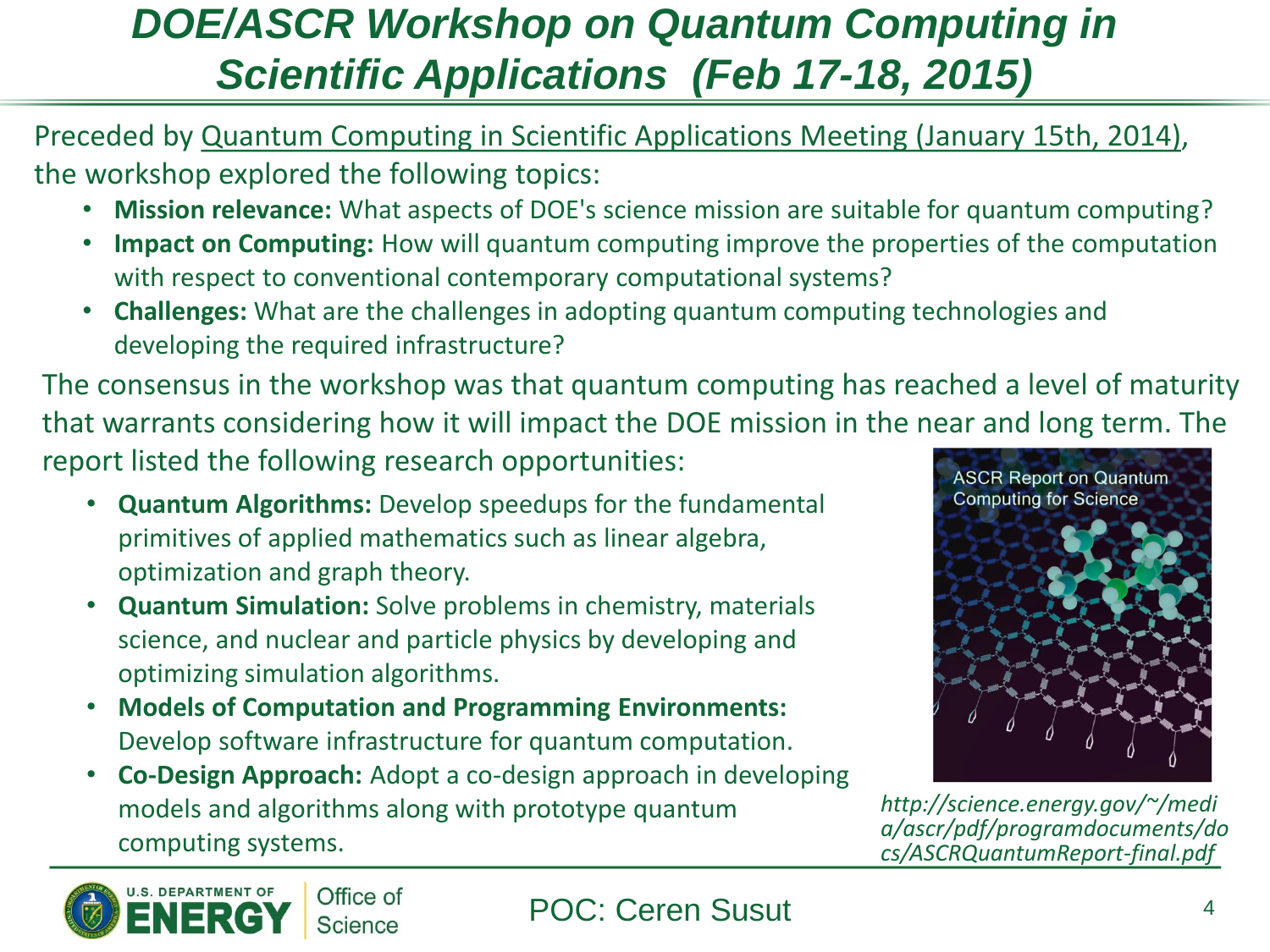### *DOE/ASCR Workshop on Quantum Computing in Scientific Applications (Feb 17-18, 2015)*

Preceded by Quantum Computing in Scientific Applications Meeting (January 15th, 2014), the workshop explored the following topics:

- **Mission relevance:** What aspects of DOE's science mission are suitable for quantum computing?
- **Impact on Computing:** How will quantum computing improve the properties of the computation with respect to conventional contemporary computational systems?
- **Challenges:** What are the challenges in adopting quantum computing technologies and developing the required infrastructure?

The consensus in the workshop was that quantum computing has reached a level of maturity that warrants considering how it will impact the DOE mission in the near and long term. The report listed the following research opportunities:

- **Quantum Algorithms:** Develop speedups for the fundamental primitives of applied mathematics such as linear algebra, optimization and graph theory.
- **Quantum Simulation:** Solve problems in chemistry, materials science, and nuclear and particle physics by developing and optimizing simulation algorithms.
- **Models of Computation and Programming Environments:** Develop software infrastructure for quantum computation.
- **Co-Design Approach:** Adopt a co-design approach in developing models and algorithms along with prototype quantum computing systems.



*http://science.energy.gov/~/medi a/ascr/pdf/programdocuments/do cs/ASCRQuantumReport-final.pdf*

#### POC: Ceren Susut 4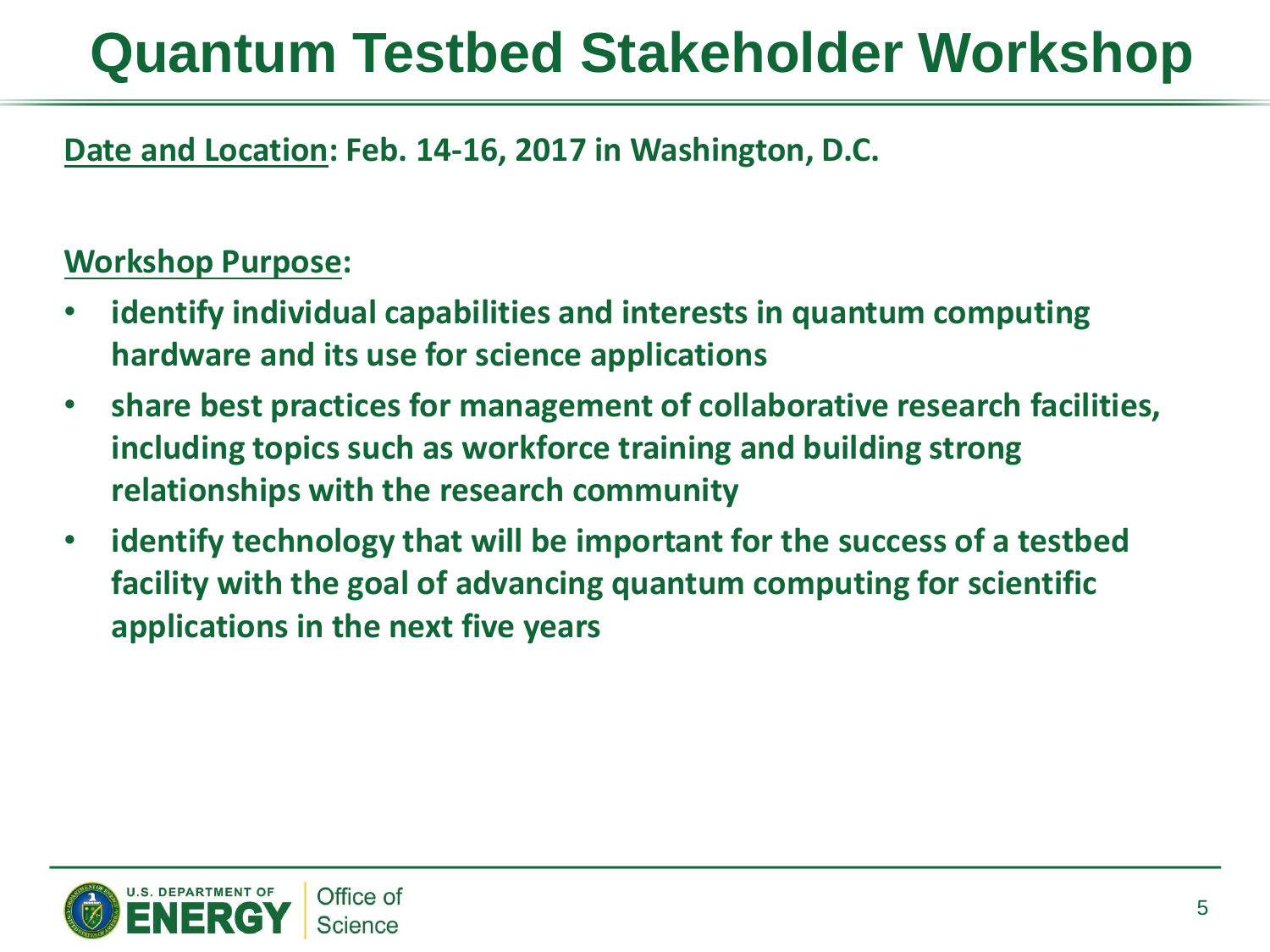#### **Date and Location: Feb. 14-16, 2017 in Washington, D.C.**

#### **Workshop Purpose:**

- **identify individual capabilities and interests in quantum computing hardware and its use for science applications**
- **share best practices for management of collaborative research facilities, including topics such as workforce training and building strong relationships with the research community**
- **identify technology that will be important for the success of a testbed facility with the goal of advancing quantum computing for scientific applications in the next five years**

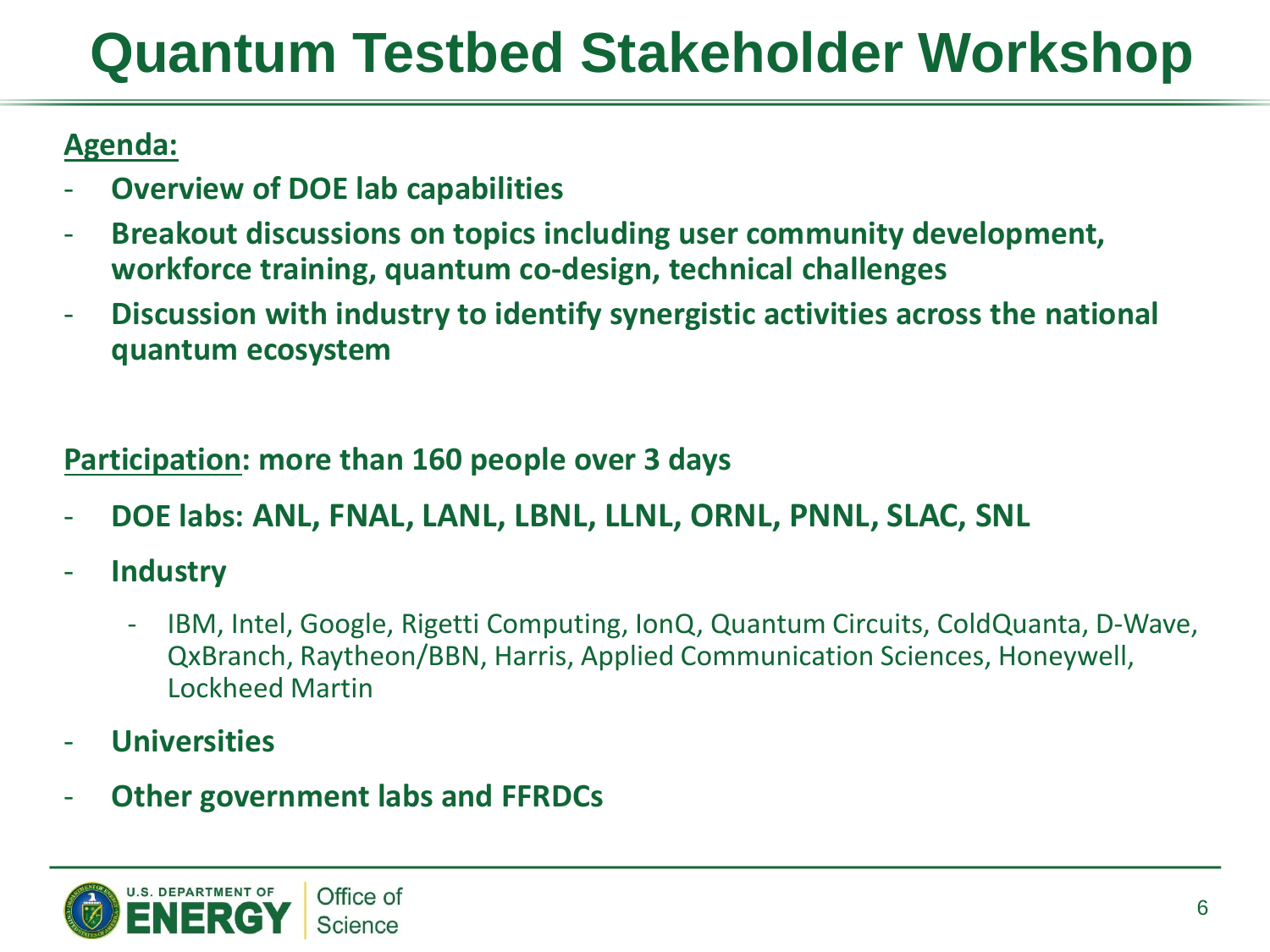#### **Agenda:**

- **Overview of DOE lab capabilities**
- **Breakout discussions on topics including user community development, workforce training, quantum co-design, technical challenges**
- **Discussion with industry to identify synergistic activities across the national quantum ecosystem**

#### **Participation: more than 160 people over 3 days**

- **DOE labs: ANL, FNAL, LANL, LBNL, LLNL, ORNL, PNNL, SLAC, SNL**
- **Industry**
	- IBM, Intel, Google, Rigetti Computing, IonQ, Quantum Circuits, ColdQuanta, D-Wave, QxBranch, Raytheon/BBN, Harris, Applied Communication Sciences, Honeywell, Lockheed Martin
- **Universities**
- **Other government labs and FFRDCs**